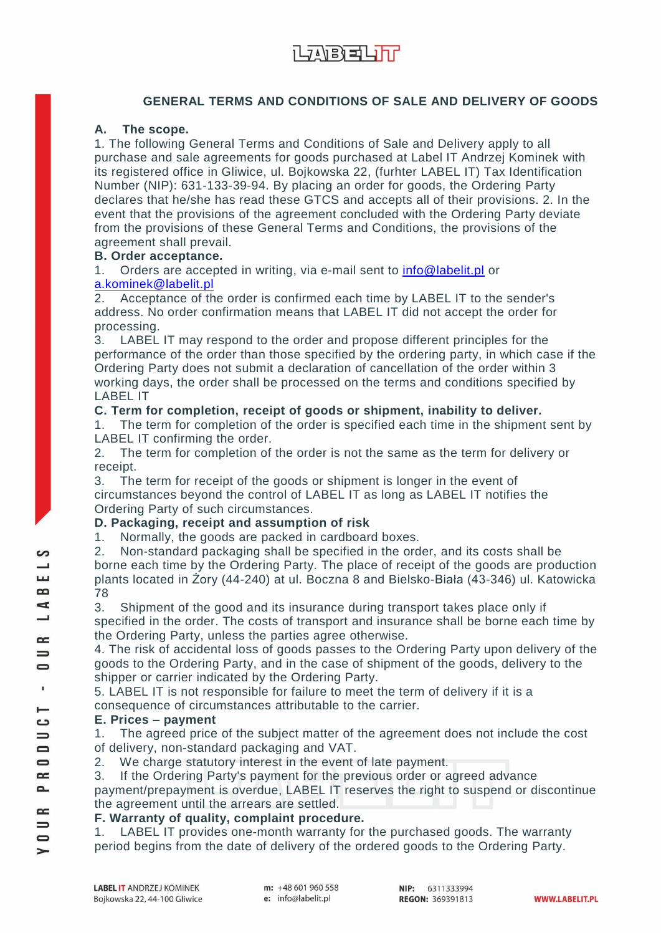## **GENERAL TERMS AND CONDITIONS OF SALE AND DELIVERY OF GOODS**

### **A. The scope.**

1. The following General Terms and Conditions of Sale and Delivery apply to all purchase and sale agreements for goods purchased at Label IT Andrzej Kominek with its registered office in Gliwice, ul. Bojkowska 22, (furhter LABEL IT) Tax Identification Number (NIP): 631-133-39-94. By placing an order for goods, the Ordering Party declares that he/she has read these GTCS and accepts all of their provisions. 2. In the event that the provisions of the agreement concluded with the Ordering Party deviate from the provisions of these General Terms and Conditions, the provisions of the agreement shall prevail.

### **B. Order acceptance.**

1. Orders are accepted in writing, via e-mail sent to [info@labelit.pl](mailto:info@labelit.pl) or [a.kominek@labelit.pl](mailto:a.kominek@labelit.pl)

2. Acceptance of the order is confirmed each time by LABEL IT to the sender's address. No order confirmation means that LABEL IT did not accept the order for processing.

3. LABEL IT may respond to the order and propose different principles for the performance of the order than those specified by the ordering party, in which case if the Ordering Party does not submit a declaration of cancellation of the order within 3 working days, the order shall be processed on the terms and conditions specified by LABEL IT

### **C. Term for completion, receipt of goods or shipment, inability to deliver.**

1. The term for completion of the order is specified each time in the shipment sent by LABEL IT confirming the order.

2. The term for completion of the order is not the same as the term for delivery or receipt.

3. The term for receipt of the goods or shipment is longer in the event of circumstances beyond the control of LABEL IT as long as LABEL IT notifies the Ordering Party of such circumstances.

## **D. Packaging, receipt and assumption of risk**

1. Normally, the goods are packed in cardboard boxes.

2. Non-standard packaging shall be specified in the order, and its costs shall be borne each time by the Ordering Party. The place of receipt of the goods are production plants located in Żory (44-240) at ul. Boczna 8 and Bielsko-Biała (43-346) ul. Katowicka 78

3. Shipment of the good and its insurance during transport takes place only if specified in the order. The costs of transport and insurance shall be borne each time by the Ordering Party, unless the parties agree otherwise.

4. The risk of accidental loss of goods passes to the Ordering Party upon delivery of the goods to the Ordering Party, and in the case of shipment of the goods, delivery to the shipper or carrier indicated by the Ordering Party.

5. LABEL IT is not responsible for failure to meet the term of delivery if it is a consequence of circumstances attributable to the carrier.

### **E. Prices – payment**

1. The agreed price of the subject matter of the agreement does not include the cost of delivery, non-standard packaging and VAT.

2. We charge statutory interest in the event of late payment.

3. If the Ordering Party's payment for the previous order or agreed advance

payment/prepayment is overdue, LABEL IT reserves the right to suspend or discontinue the agreement until the arrears are settled.

### **F. Warranty of quality, complaint procedure.**

1. LABEL IT provides one-month warranty for the purchased goods. The warranty period begins from the date of delivery of the ordered goods to the Ordering Party.